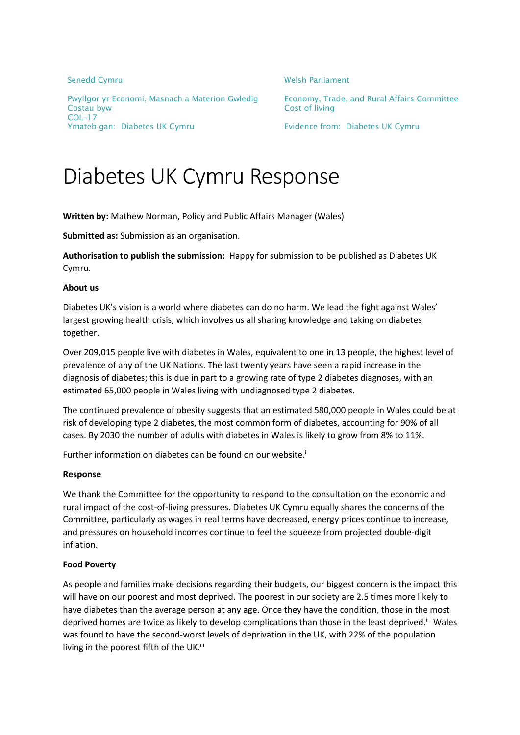Pwyllgor yr Economi, Masnach a Materion Gwledig Economy, Trade, and Rural Affairs Committee Costau byw Cost of living COL–17 Ymateb gan: Diabetes UK Cymru **Evidence from: Diabetes UK Cymru** 

Senedd Cymru Nelsh Parliament

# Diabetes UK Cymru Response

**Written by:** Mathew Norman, Policy and Public Affairs Manager (Wales)

**Submitted as:** Submission as an organisation.

**Authorisation to publish the submission:** Happy for submission to be published as Diabetes UK Cymru.

#### **About us**

Diabetes UK's vision is a world where diabetes can do no harm. We lead the fight against Wales' largest growing health crisis, which involves us all sharing knowledge and taking on diabetes together.

Over 209,015 people live with diabetes in Wales, equivalent to one in 13 people, the highest level of prevalence of any of the UK Nations. The last twenty years have seen a rapid increase in the diagnosis of diabetes; this is due in part to a growing rate of type 2 diabetes diagnoses, with an estimated 65,000 people in Wales living with undiagnosed type 2 diabetes.

The continued prevalence of obesity suggests that an estimated 580,000 people in Wales could be at risk of developing type 2 diabetes, the most common form of diabetes, accounting for 90% of all cases. By 2030 the number of adults with diabetes in Wales is likely to grow from 8% to 11%.

Further information on diabetes can be found on our website.<sup>i</sup>

#### **Response**

We thank the Committee for the opportunity to respond to the consultation on the economic and rural impact of the cost-of-living pressures. Diabetes UK Cymru equally shares the concerns of the Committee, particularly as wages in real terms have decreased, energy prices continue to increase, and pressures on household incomes continue to feel the squeeze from projected double-digit inflation.

## **Food Poverty**

As people and families make decisions regarding their budgets, our biggest concern is the impact this will have on our poorest and most deprived. The poorest in our society are 2.5 times more likely to have diabetes than the average person at any age. Once they have the condition, those in the most deprived homes are twice as likely to develop complications than those in the least deprived.<sup>ii</sup> Wales was found to have the second-worst levels of deprivation in the UK, with 22% of the population living in the poorest fifth of the UK.<sup>iii</sup>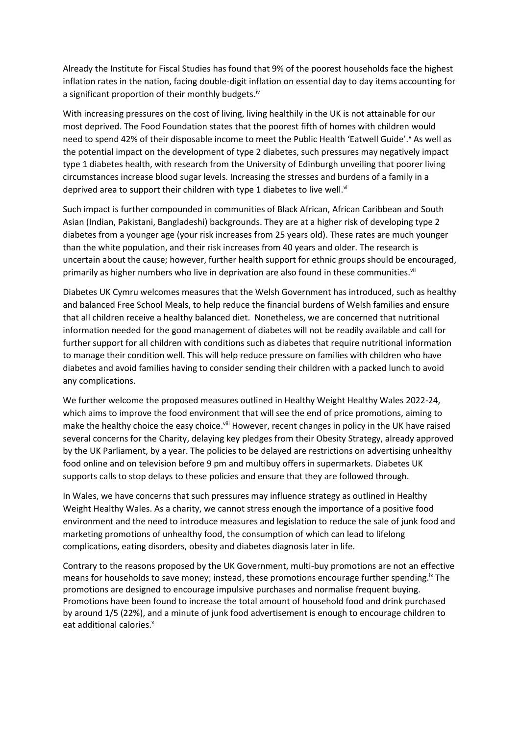Already the Institute for Fiscal Studies has found that 9% of the poorest households face the highest inflation rates in the nation, facing double-digit inflation on essential day to day items accounting for a significant proportion of their monthly budgets.<sup>iv</sup>

With increasing pressures on the cost of living, living healthily in the UK is not attainable for our most deprived. The Food Foundation states that the poorest fifth of homes with children would need to spend 42% of their disposable income to meet the Public Health 'Eatwell Guide'.<sup>v</sup> As well as the potential impact on the development of type 2 diabetes, such pressures may negatively impact type 1 diabetes health, with research from the University of Edinburgh unveiling that poorer living circumstances increase blood sugar levels. Increasing the stresses and burdens of a family in a deprived area to support their children with type 1 diabetes to live well. $\mathrm{v}$ 

Such impact is further compounded in communities of Black African, African Caribbean and South Asian (Indian, Pakistani, Bangladeshi) backgrounds. They are at a higher risk of developing type 2 diabetes from a younger age (your risk increases from 25 years old). These rates are much younger than the white population, and their risk increases from 40 years and older. The research is uncertain about the cause; however, further health support for ethnic groups should be encouraged, primarily as higher numbers who live in deprivation are also found in these communities.<sup>vii</sup>

Diabetes UK Cymru welcomes measures that the Welsh Government has introduced, such as healthy and balanced Free School Meals, to help reduce the financial burdens of Welsh families and ensure that all children receive a healthy balanced diet. Nonetheless, we are concerned that nutritional information needed for the good management of diabetes will not be readily available and call for further support for all children with conditions such as diabetes that require nutritional information to manage their condition well. This will help reduce pressure on families with children who have diabetes and avoid families having to consider sending their children with a packed lunch to avoid any complications.

We further welcome the proposed measures outlined in Healthy Weight Healthy Wales 2022-24, which aims to improve the food environment that will see the end of price promotions, aiming to make the healthy choice the easy choice. Vill However, recent changes in policy in the UK have raised several concerns for the Charity, delaying key pledges from their Obesity Strategy, already approved by the UK Parliament, by a year. The policies to be delayed are restrictions on advertising unhealthy food online and on television before 9 pm and multibuy offers in supermarkets. Diabetes UK supports calls to stop delays to these policies and ensure that they are followed through.

In Wales, we have concerns that such pressures may influence strategy as outlined in Healthy Weight Healthy Wales. As a charity, we cannot stress enough the importance of a positive food environment and the need to introduce measures and legislation to reduce the sale of junk food and marketing promotions of unhealthy food, the consumption of which can lead to lifelong complications, eating disorders, obesity and diabetes diagnosis later in life.

Contrary to the reasons proposed by the UK Government, multi-buy promotions are not an effective means for households to save money; instead, these promotions encourage further spending.<sup>ix</sup> The promotions are designed to encourage impulsive purchases and normalise frequent buying. Promotions have been found to increase the total amount of household food and drink purchased by around 1/5 (22%), and a minute of junk food advertisement is enough to encourage children to eat additional calories.<sup>x</sup>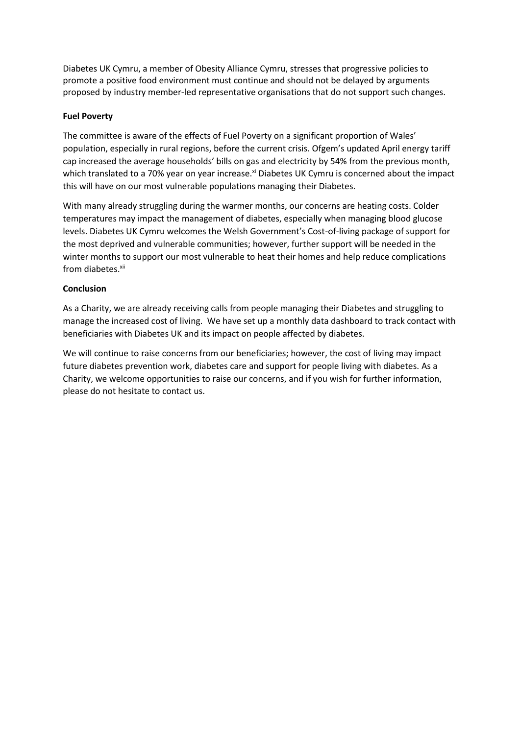Diabetes UK Cymru, a member of Obesity Alliance Cymru, stresses that progressive policies to promote a positive food environment must continue and should not be delayed by arguments proposed by industry member-led representative organisations that do not support such changes.

## **Fuel Poverty**

The committee is aware of the effects of Fuel Poverty on a significant proportion of Wales' population, especially in rural regions, before the current crisis. Ofgem's updated April energy tariff cap increased the average households' bills on gas and electricity by 54% from the previous month, which translated to a 70% year on year increase.<sup>xi</sup> Diabetes UK Cymru is concerned about the impact this will have on our most vulnerable populations managing their Diabetes.

With many already struggling during the warmer months, our concerns are heating costs. Colder temperatures may impact the management of diabetes, especially when managing blood glucose levels. Diabetes UK Cymru welcomes the Welsh Government's Cost-of-living package of support for the most deprived and vulnerable communities; however, further support will be needed in the winter months to support our most vulnerable to heat their homes and help reduce complications from diabetes.<sup>xii</sup>

### **Conclusion**

As a Charity, we are already receiving calls from people managing their Diabetes and struggling to manage the increased cost of living. We have set up a monthly data dashboard to track contact with beneficiaries with Diabetes UK and its impact on people affected by diabetes.

We will continue to raise concerns from our beneficiaries; however, the cost of living may impact future diabetes prevention work, diabetes care and support for people living with diabetes. As a Charity, we welcome opportunities to raise our concerns, and if you wish for further information, please do not hesitate to contact us.